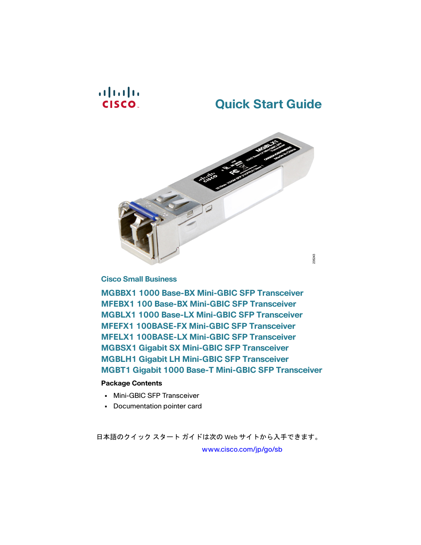## $\mathbf{d}$  and  $\mathbf{d}$ **CISCO**

# **Quick Start Guide**



**Cisco Small Business**

**MGBBX1 1000 Base-BX Mini-GBIC SFP Transceiver MFEBX1 100 Base-BX Mini-GBIC SFP Transceiver MGBLX1 1000 Base-LX Mini-GBIC SFP Transceiver MFEFX1 100BASE-FX Mini-GBIC SFP Transceiver MFELX1 100BASE-LX Mini-GBIC SFP Transceiver MGBSX1 Gigabit SX Mini-GBIC SFP Transceiver MGBLH1 Gigabit LH Mini-GBIC SFP Transceiver MGBT1 Gigabit 1000 Base-T Mini-GBIC SFP Transceiver**

### **Package Contents**

- **•** Mini-GBIC SFP Transceiver
- **•** Documentation pointer card

日本語のクイック スタート ガイドは次の Web サイトから入手できます。

www.cisco.com/jp/go/sb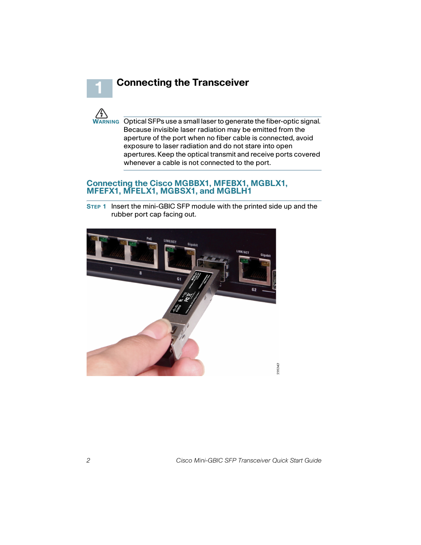



**1**

**WARNING** Optical SFPs use a small laser to generate the fiber-optic signal. Because invisible laser radiation may be emitted from the aperture of the port when no fiber cable is connected, avoid exposure to laser radiation and do not stare into open apertures. Keep the optical transmit and receive ports covered whenever a cable is not connected to the port.

#### **Connecting the Cisco MGBBX1, MFEBX1, MGBLX1, MFEFX1, MFELX1, MGBSX1, and MGBLH1**

**STEP 1** Insert the mini-GBIC SFP module with the printed side up and the rubber port cap facing out.

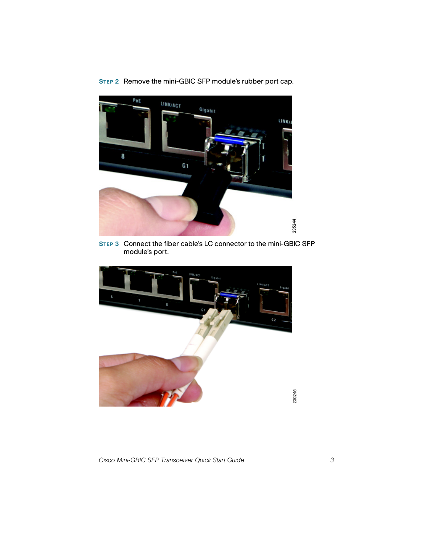**STEP 2** Remove the mini-GBIC SFP module's rubber port cap.



**STEP 3** Connect the fiber cable's LC connector to the mini-GBIC SFP module's port.

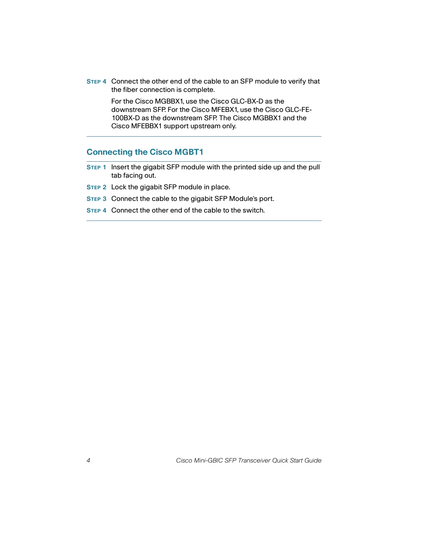**STEP 4** Connect the other end of the cable to an SFP module to verify that the fiber connection is complete.

> For the Cisco MGBBX1, use the Cisco GLC-BX-D as the downstream SFP. For the Cisco MFEBX1, use the Cisco GLC-FE-100BX-D as the downstream SFP. The Cisco MGBBX1 and the Cisco MFEBBX1 support upstream only.

### **Connecting the Cisco MGBT1**

- **STEP 1** Insert the gigabit SFP module with the printed side up and the pull tab facing out.
- **STEP 2** Lock the gigabit SFP module in place.
- **STEP 3** Connect the cable to the gigabit SFP Module's port.
- **STEP 4** Connect the other end of the cable to the switch.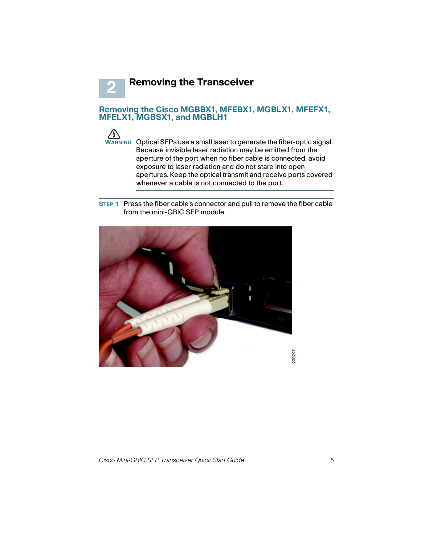**Removing the Transceiver**

#### **Removing the Cisco MGBBX1, MFEBX1, MGBLX1, MFEFX1, MFELX1, MGBSX1, and MGBLH1**



**2**

**WARNING** Optical SFPs use a small laser to generate the fiber-optic signal. Because invisible laser radiation may be emitted from the aperture of the port when no fiber cable is connected, avoid exposure to laser radiation and do not stare into open apertures. Keep the optical transmit and receive ports covered whenever a cable is not connected to the port.

**STEP 1** Press the fiber cable's connector and pull to remove the fiber cable from the mini-GBIC SFP module.

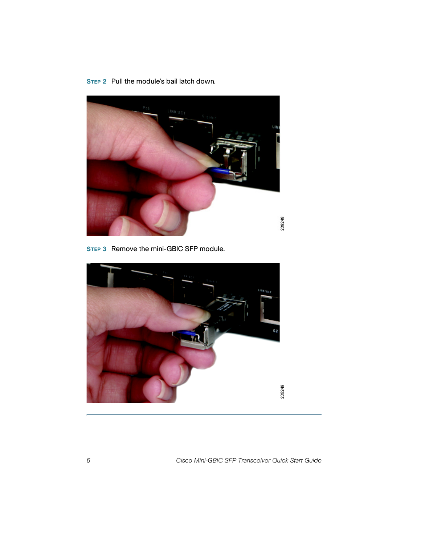**STEP 2** Pull the module's bail latch down.



**STEP 3** Remove the mini-GBIC SFP module.



6 Cisco Mini-GBIC SFP Transceiver Quick Start Guide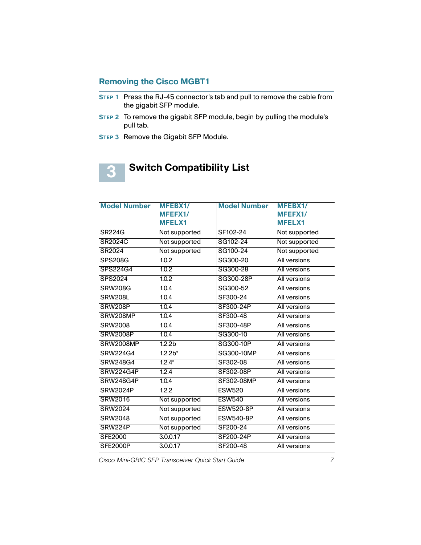## **Removing the Cisco MGBT1**

- **STEP 1** Press the RJ-45 connector's tab and pull to remove the cable from the gigabit SFP module.
- **STEP 2** To remove the gigabit SFP module, begin by pulling the module's pull tab.
- **STEP 3** Remove the Gigabit SFP Module.

**3**

## **Switch Compatibility List**

| <b>Model Number</b> | <b>MFEBX1/</b>     | <b>Model Number</b> | <b>MFEBX1/</b>      |
|---------------------|--------------------|---------------------|---------------------|
|                     | MFEFX1/            |                     | MFEFX1/             |
|                     | <b>MFELX1</b>      |                     | <b>MFELX1</b>       |
| <b>SR224G</b>       | Not supported      | SF102-24            | Not supported       |
| <b>SR2024C</b>      | Not supported      | SG102-24            | Not supported       |
| SR2024              | Not supported      | SG100-24            | Not supported       |
| <b>SPS208G</b>      | 1.0.2              | SG300-20            | All versions        |
| SPS224G4            | 1.0.2              | SG300-28            | All versions        |
| <b>SPS2024</b>      | 1.0.2              | SG300-28P           | All versions        |
| <b>SRW208G</b>      | 1.0.4              | SG300-52            | All versions        |
| SRW208L             | 1.0.4              | SF300-24            | All versions        |
| SRW208P             | 1.0.4              | SF300-24P           | All versions        |
| SRW208MP            | 1.0.4              | SF300-48            | All versions        |
| <b>SRW2008</b>      | 1.0.4              | SF300-48P           | All versions        |
| <b>SRW2008P</b>     | 1.0.4              | SG300-10            | All versions        |
| <b>SRW2008MP</b>    | 1.2.2 <sub>b</sub> | SG300-10P           | All versions        |
| <b>SRW224G4</b>     | $1.2.2*$           | SG300-10MP          | All versions        |
| SRW248G4            | $1.2.4*$           | SF302-08            | All versions        |
| SRW224G4P           | 1.2.4              | SF302-08P           | All versions        |
| SRW248G4P           | 1.0.4              | SF302-08MP          | All versions        |
| <b>SRW2024P</b>     | 1.2.2              | <b>ESW520</b>       | All versions        |
| <b>SRW2016</b>      | Not supported      | <b>ESW540</b>       | All versions        |
| <b>SRW2024</b>      | Not supported      | <b>ESW520-8P</b>    | <b>All versions</b> |
| <b>SRW2048</b>      | Not supported      | <b>ESW540-8P</b>    | All versions        |
| SRW224P             | Not supported      | SF200-24            | All versions        |
| <b>SFE2000</b>      | 3.0.0.17           | SF200-24P           | All versions        |
| <b>SFE2000P</b>     | 3.0.0.17           | SF200-48            | All versions        |

Cisco Mini-GBIC SFP Transceiver Quick Start Guide 7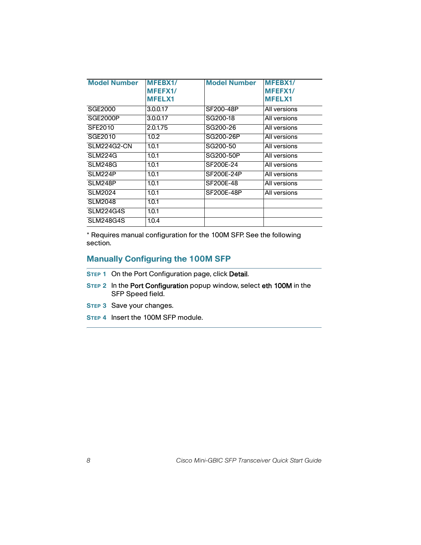| <b>Model Number</b> | MFEBX1/<br><b>MFEFX1/</b><br><b>MFELX1</b> | <b>Model Number</b> | <b>MFEBX1/</b><br>MFEFX1/<br><b>MFELX1</b> |
|---------------------|--------------------------------------------|---------------------|--------------------------------------------|
| SGE2000             | 3.0.0.17                                   | SF200-48P           | All versions                               |
| SGE2000P            | 3.0.0.17                                   | SG200-18            | All versions                               |
| <b>SFE2010</b>      | 2.0.1.75                                   | SG200-26            | All versions                               |
| SGE2010             | 1.0.2                                      | SG200-26P           | All versions                               |
| <b>SLM224G2-CN</b>  | 1.0.1                                      | SG200-50            | All versions                               |
| SLM224G             | 1.0.1                                      | SG200-50P           | All versions                               |
| <b>SLM248G</b>      | 1.0.1                                      | SF200E-24           | All versions                               |
| SLM224P             | 1.0.1                                      | SF200E-24P          | All versions                               |
| SLM248P             | 1.0.1                                      | SF200E-48           | All versions                               |
| <b>SLM2024</b>      | 1.0.1                                      | <b>SF200E-48P</b>   | All versions                               |
| <b>SLM2048</b>      | 1.0.1                                      |                     |                                            |
| <b>SLM224G4S</b>    | 1.0.1                                      |                     |                                            |
| <b>SLM248G4S</b>    | 1.0.4                                      |                     |                                            |

\* Requires manual configuration for the 100M SFP. See the following section.

## **Manually Configuring the 100M SFP**

- **STEP 1** On the Port Configuration page, click Detail.
- **STEP 2** In the Port Configuration popup window, select eth 100M in the SFP Speed field.
- **STEP 3** Save your changes.
- **STEP 4** Insert the 100M SFP module.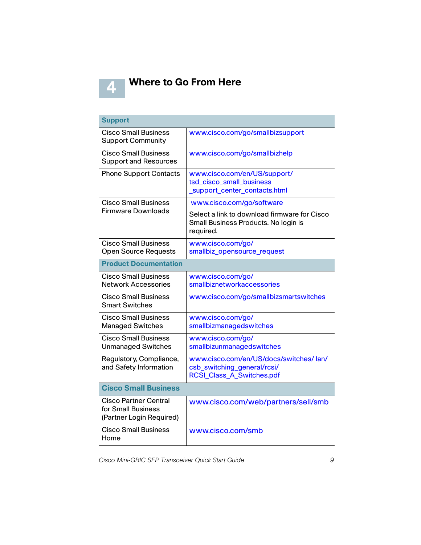

## **Where to Go From Here**

| <b>Support</b>                                                          |                                                                                                            |  |
|-------------------------------------------------------------------------|------------------------------------------------------------------------------------------------------------|--|
| Cisco Small Business<br><b>Support Community</b>                        | www.cisco.com/go/smallbizsupport                                                                           |  |
| <b>Cisco Small Business</b><br><b>Support and Resources</b>             | www.cisco.com/go/smallbizhelp                                                                              |  |
| <b>Phone Support Contacts</b>                                           | www.cisco.com/en/US/support/<br>tsd_cisco_small_business<br>support_center_contacts.html                   |  |
| <b>Cisco Small Business</b>                                             | www.cisco.com/go/software                                                                                  |  |
| <b>Firmware Downloads</b>                                               | Select a link to download firmware for Cisco<br>Small Business Products. No login is<br>required.          |  |
| <b>Cisco Small Business</b><br><b>Open Source Requests</b>              | www.cisco.com/go/<br>smallbiz_opensource_request                                                           |  |
| <b>Product Documentation</b>                                            |                                                                                                            |  |
| <b>Cisco Small Business</b><br><b>Network Accessories</b>               | www.cisco.com/go/<br>smallbiznetworkaccessories                                                            |  |
| Cisco Small Business<br><b>Smart Switches</b>                           | www.cisco.com/go/smallbizsmartswitches                                                                     |  |
| <b>Cisco Small Business</b><br><b>Managed Switches</b>                  | www.cisco.com/go/<br>smallbizmanagedswitches                                                               |  |
| <b>Cisco Small Business</b><br><b>Unmanaged Switches</b>                | www.cisco.com/go/<br>smallbizunmanagedswitches                                                             |  |
| Regulatory, Compliance,<br>and Safety Information                       | www.cisco.com/en/US/docs/switches/ lan/<br>csb_switching_general/rcsi/<br><b>RCSI_Class_A_Switches.pdf</b> |  |
| <b>Cisco Small Business</b>                                             |                                                                                                            |  |
| Cisco Partner Central<br>for Small Business<br>(Partner Login Required) | www.cisco.com/web/partners/sell/smb                                                                        |  |
| <b>Cisco Small Business</b><br>Home                                     | www.cisco.com/smb                                                                                          |  |